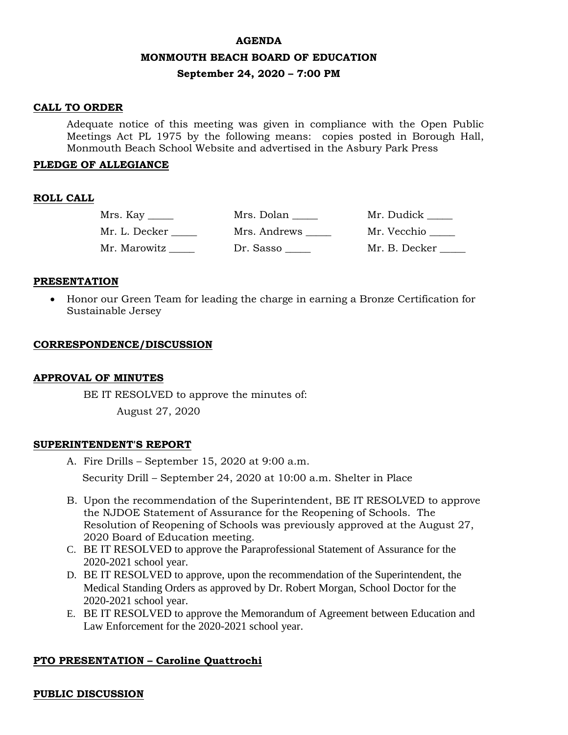#### **AGENDA**

### **MONMOUTH BEACH BOARD OF EDUCATION**

### **September 24, 2020 – 7:00 PM**

### **CALL TO ORDER**

Adequate notice of this meeting was given in compliance with the Open Public Meetings Act PL 1975 by the following means: copies posted in Borough Hall, Monmouth Beach School Website and advertised in the Asbury Park Press

### **PLEDGE OF ALLEGIANCE**

### **ROLL CALL**

| $Mrs.$ Kay $\_\_\_\_\$ | Mrs. Dolan   | Mr. Dudick    |
|------------------------|--------------|---------------|
| Mr. L. Decker          | Mrs. Andrews | Mr. Vecchio   |
| Mr. Marowitz           | Dr. Sasso    | Mr. B. Decker |

### **PRESENTATION**

 Honor our Green Team for leading the charge in earning a Bronze Certification for Sustainable Jersey

### **CORRESPONDENCE/DISCUSSION**

### **APPROVAL OF MINUTES**

BE IT RESOLVED to approve the minutes of:

August 27, 2020

#### **SUPERINTENDENT'S REPORT**

A. Fire Drills – September 15, 2020 at 9:00 a.m.

Security Drill – September 24, 2020 at 10:00 a.m. Shelter in Place

- B. Upon the recommendation of the Superintendent, BE IT RESOLVED to approve the NJDOE Statement of Assurance for the Reopening of Schools. The Resolution of Reopening of Schools was previously approved at the August 27, 2020 Board of Education meeting.
- C. BE IT RESOLVED to approve the Paraprofessional Statement of Assurance for the 2020-2021 school year.
- D. BE IT RESOLVED to approve, upon the recommendation of the Superintendent, the Medical Standing Orders as approved by Dr. Robert Morgan, School Doctor for the 2020-2021 school year.
- E. BE IT RESOLVED to approve the Memorandum of Agreement between Education and Law Enforcement for the 2020-2021 school year.

### **PTO PRESENTATION – Caroline Quattrochi**

### **PUBLIC DISCUSSION**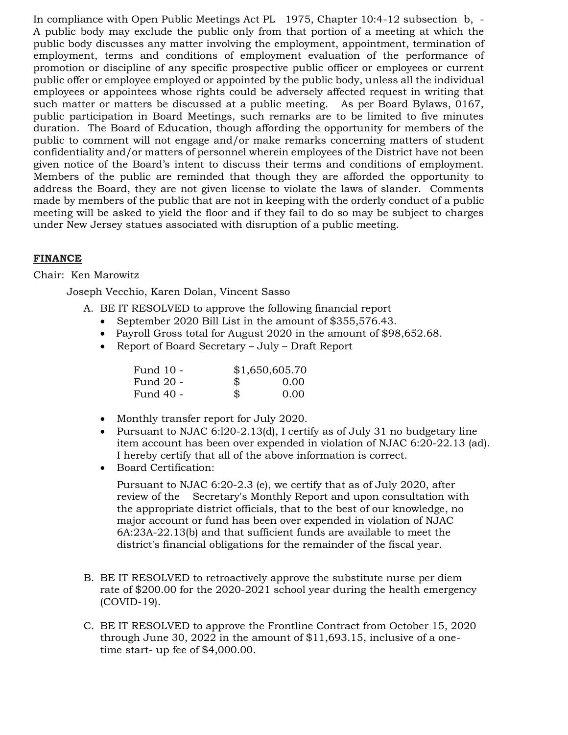In compliance with Open Public Meetings Act PL 1975, Chapter 10:4-12 subsection b, - A public body may exclude the public only from that portion of a meeting at which the public body discusses any matter involving the employment, appointment, termination of employment, terms and conditions of employment evaluation of the performance of promotion or discipline of any specific prospective public officer or employees or current public offer or employee employed or appointed by the public body, unless all the individual employees or appointees whose rights could be adversely affected request in writing that such matter or matters be discussed at a public meeting. As per Board Bylaws, 0167, public participation in Board Meetings, such remarks are to be limited to five minutes duration. The Board of Education, though affording the opportunity for members of the public to comment will not engage and/or make remarks concerning matters of student confidentiality and/or matters of personnel wherein employees of the District have not been given notice of the Board's intent to discuss their terms and conditions of employment. Members of the public are reminded that though they are afforded the opportunity to address the Board, they are not given license to violate the laws of slander. Comments made by members of the public that are not in keeping with the orderly conduct of a public meeting will be asked to yield the floor and if they fail to do so may be subject to charges under New Jersey statues associated with disruption of a public meeting.

# **FINANCE**

## Chair: Ken Marowitz

Joseph Vecchio, Karen Dolan, Vincent Sasso

A. BE IT RESOLVED to approve the following financial report

- September 2020 Bill List in the amount of \$355,576.43.
- Payroll Gross total for August 2020 in the amount of \$98,652.68.
- Report of Board Secretary July Draft Report

| Fund 10 - | \$1,650,605.70 |      |
|-----------|----------------|------|
| Fund 20 - | \$             | 0.00 |
| Fund 40 - | \$             | 0.00 |

- Monthly transfer report for July 2020.
- Pursuant to NJAC 6:120-2.13(d), I certify as of July 31 no budgetary line item account has been over expended in violation of NJAC 6:20-22.13 (ad). I hereby certify that all of the above information is correct.
- Board Certification:

Pursuant to NJAC 6:20-2.3 (e), we certify that as of July 2020, after review of the Secretary's Monthly Report and upon consultation with the appropriate district officials, that to the best of our knowledge, no major account or fund has been over expended in violation of NJAC 6A:23A-22.13(b) and that sufficient funds are available to meet the district's financial obligations for the remainder of the fiscal year.

- B. BE IT RESOLVED to retroactively approve the substitute nurse per diem rate of \$200.00 for the 2020-2021 school year during the health emergency (COVID-19).
- C. BE IT RESOLVED to approve the Frontline Contract from October 15, 2020 through June 30, 2022 in the amount of \$11,693.15, inclusive of a onetime start- up fee of \$4,000.00.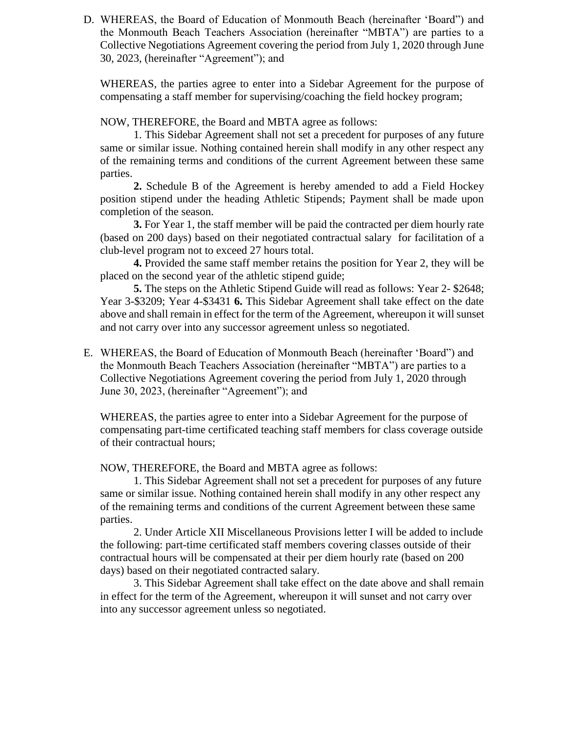D. WHEREAS, the Board of Education of Monmouth Beach (hereinafter 'Board") and the Monmouth Beach Teachers Association (hereinafter "MBTA") are parties to a Collective Negotiations Agreement covering the period from July 1, 2020 through June 30, 2023, (hereinafter "Agreement"); and

WHEREAS, the parties agree to enter into a Sidebar Agreement for the purpose of compensating a staff member for supervising/coaching the field hockey program;

NOW, THEREFORE, the Board and MBTA agree as follows:

1. This Sidebar Agreement shall not set a precedent for purposes of any future same or similar issue. Nothing contained herein shall modify in any other respect any of the remaining terms and conditions of the current Agreement between these same parties.

**2.** Schedule B of the Agreement is hereby amended to add a Field Hockey position stipend under the heading Athletic Stipends; Payment shall be made upon completion of the season.

**3.** For Year 1, the staff member will be paid the contracted per diem hourly rate (based on 200 days) based on their negotiated contractual salary for facilitation of a club-level program not to exceed 27 hours total.

**4.** Provided the same staff member retains the position for Year 2, they will be placed on the second year of the athletic stipend guide;

**5.** The steps on the Athletic Stipend Guide will read as follows: Year 2- \$2648; Year 3-\$3209; Year 4-\$3431 **6.** This Sidebar Agreement shall take effect on the date above and shall remain in effect for the term of the Agreement, whereupon it will sunset and not carry over into any successor agreement unless so negotiated.

E. WHEREAS, the Board of Education of Monmouth Beach (hereinafter 'Board") and the Monmouth Beach Teachers Association (hereinafter "MBTA") are parties to a Collective Negotiations Agreement covering the period from July 1, 2020 through June 30, 2023, (hereinafter "Agreement"); and

WHEREAS, the parties agree to enter into a Sidebar Agreement for the purpose of compensating part-time certificated teaching staff members for class coverage outside of their contractual hours;

NOW, THEREFORE, the Board and MBTA agree as follows:

1. This Sidebar Agreement shall not set a precedent for purposes of any future same or similar issue. Nothing contained herein shall modify in any other respect any of the remaining terms and conditions of the current Agreement between these same parties.

2. Under Article XII Miscellaneous Provisions letter I will be added to include the following: part-time certificated staff members covering classes outside of their contractual hours will be compensated at their per diem hourly rate (based on 200 days) based on their negotiated contracted salary.

3. This Sidebar Agreement shall take effect on the date above and shall remain in effect for the term of the Agreement, whereupon it will sunset and not carry over into any successor agreement unless so negotiated.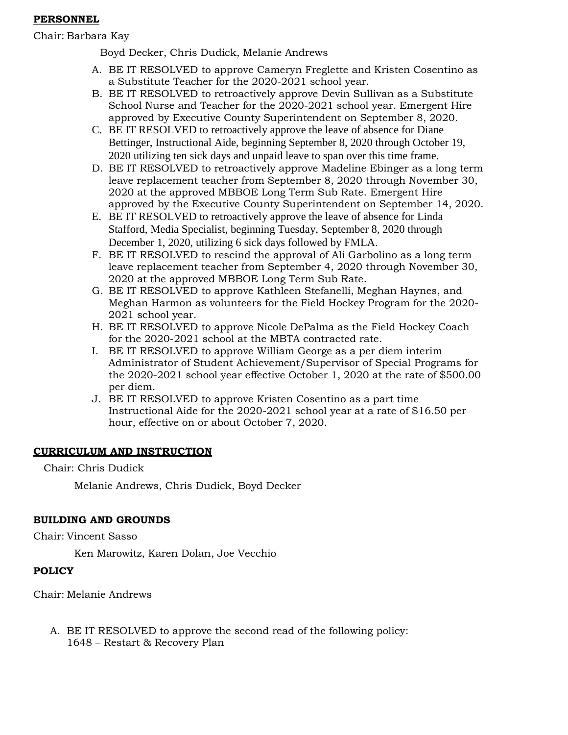## **PERSONNEL**

Chair: Barbara Kay

Boyd Decker, Chris Dudick, Melanie Andrews

- A. BE IT RESOLVED to approve Cameryn Freglette and Kristen Cosentino as a Substitute Teacher for the 2020-2021 school year.
- B. BE IT RESOLVED to retroactively approve Devin Sullivan as a Substitute School Nurse and Teacher for the 2020-2021 school year. Emergent Hire approved by Executive County Superintendent on September 8, 2020.
- C. BE IT RESOLVED to retroactively approve the leave of absence for Diane Bettinger, Instructional Aide, beginning September 8, 2020 through October 19, 2020 utilizing ten sick days and unpaid leave to span over this time frame.
- D. BE IT RESOLVED to retroactively approve Madeline Ebinger as a long term leave replacement teacher from September 8, 2020 through November 30, 2020 at the approved MBBOE Long Term Sub Rate. Emergent Hire approved by the Executive County Superintendent on September 14, 2020.
- E. BE IT RESOLVED to retroactively approve the leave of absence for Linda Stafford, Media Specialist, beginning Tuesday, September 8, 2020 through December 1, 2020, utilizing 6 sick days followed by FMLA.
- F. BE IT RESOLVED to rescind the approval of Ali Garbolino as a long term leave replacement teacher from September 4, 2020 through November 30, 2020 at the approved MBBOE Long Term Sub Rate.
- G. BE IT RESOLVED to approve Kathleen Stefanelli, Meghan Haynes, and Meghan Harmon as volunteers for the Field Hockey Program for the 2020- 2021 school year.
- H. BE IT RESOLVED to approve Nicole DePalma as the Field Hockey Coach for the 2020-2021 school at the MBTA contracted rate.
- I. BE IT RESOLVED to approve William George as a per diem interim Administrator of Student Achievement/Supervisor of Special Programs for the 2020-2021 school year effective October 1, 2020 at the rate of \$500.00 per diem.
- J. BE IT RESOLVED to approve Kristen Cosentino as a part time Instructional Aide for the 2020-2021 school year at a rate of \$16.50 per hour, effective on or about October 7, 2020.

# **CURRICULUM AND INSTRUCTION**

Chair: Chris Dudick

Melanie Andrews, Chris Dudick, Boyd Decker

# **BUILDING AND GROUNDS**

Chair: Vincent Sasso

Ken Marowitz, Karen Dolan, Joe Vecchio

# **POLICY**

Chair: Melanie Andrews

A. BE IT RESOLVED to approve the second read of the following policy: 1648 – Restart & Recovery Plan